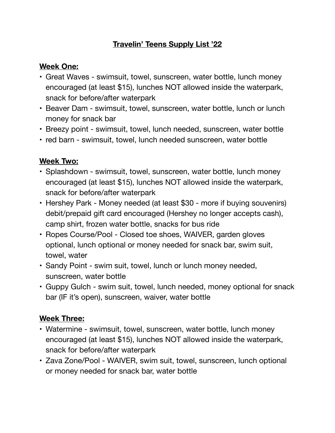### **Travelin' Teens Supply List '22**

#### **Week One:**

- Great Waves swimsuit, towel, sunscreen, water bottle, lunch money encouraged (at least \$15), lunches NOT allowed inside the waterpark, snack for before/after waterpark
- Beaver Dam swimsuit, towel, sunscreen, water bottle, lunch or lunch money for snack bar
- Breezy point swimsuit, towel, lunch needed, sunscreen, water bottle
- red barn swimsuit, towel, lunch needed sunscreen, water bottle

## **Week Two:**

- Splashdown swimsuit, towel, sunscreen, water bottle, lunch money encouraged (at least \$15), lunches NOT allowed inside the waterpark, snack for before/after waterpark
- Hershey Park Money needed (at least \$30 more if buying souvenirs) debit/prepaid gift card encouraged (Hershey no longer accepts cash), camp shirt, frozen water bottle, snacks for bus ride
- Ropes Course/Pool Closed toe shoes, WAIVER, garden gloves optional, lunch optional or money needed for snack bar, swim suit, towel, water
- Sandy Point swim suit, towel, lunch or lunch money needed, sunscreen, water bottle
- Guppy Gulch swim suit, towel, lunch needed, money optional for snack bar (IF it's open), sunscreen, waiver, water bottle

### **Week Three:**

- Watermine swimsuit, towel, sunscreen, water bottle, lunch money encouraged (at least \$15), lunches NOT allowed inside the waterpark, snack for before/after waterpark
- Zava Zone/Pool WAIVER, swim suit, towel, sunscreen, lunch optional or money needed for snack bar, water bottle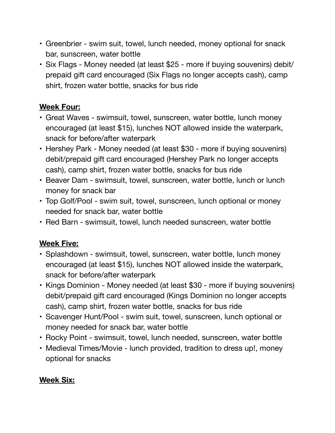- Greenbrier swim suit, towel, lunch needed, money optional for snack bar, sunscreen, water bottle
- Six Flags Money needed (at least \$25 more if buying souvenirs) debit/ prepaid gift card encouraged (Six Flags no longer accepts cash), camp shirt, frozen water bottle, snacks for bus ride

### **Week Four:**

- Great Waves swimsuit, towel, sunscreen, water bottle, lunch money encouraged (at least \$15), lunches NOT allowed inside the waterpark, snack for before/after waterpark
- Hershey Park Money needed (at least \$30 more if buying souvenirs) debit/prepaid gift card encouraged (Hershey Park no longer accepts cash), camp shirt, frozen water bottle, snacks for bus ride
- Beaver Dam swimsuit, towel, sunscreen, water bottle, lunch or lunch money for snack bar
- Top Golf/Pool swim suit, towel, sunscreen, lunch optional or money needed for snack bar, water bottle
- Red Barn swimsuit, towel, lunch needed sunscreen, water bottle

# **Week Five:**

- Splashdown swimsuit, towel, sunscreen, water bottle, lunch money encouraged (at least \$15), lunches NOT allowed inside the waterpark, snack for before/after waterpark
- Kings Dominion Money needed (at least \$30 more if buying souvenirs) debit/prepaid gift card encouraged (Kings Dominion no longer accepts cash), camp shirt, frozen water bottle, snacks for bus ride
- Scavenger Hunt/Pool swim suit, towel, sunscreen, lunch optional or money needed for snack bar, water bottle
- Rocky Point swimsuit, towel, lunch needed, sunscreen, water bottle
- Medieval Times/Movie lunch provided, tradition to dress up!, money optional for snacks

# **Week Six:**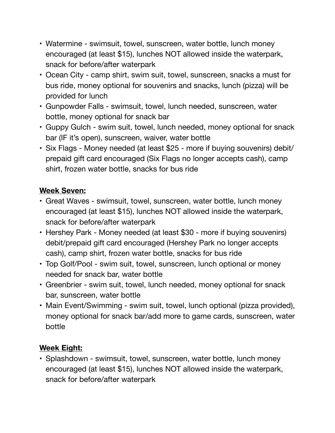- Watermine swimsuit, towel, sunscreen, water bottle, lunch money encouraged (at least \$15), lunches NOT allowed inside the waterpark, snack for before/after waterpark
- Ocean City camp shirt, swim suit, towel, sunscreen, snacks a must for bus ride, money optional for souvenirs and snacks, lunch (pizza) will be provided for lunch
- Gunpowder Falls swimsuit, towel, lunch needed, sunscreen, water bottle, money optional for snack bar
- Guppy Gulch swim suit, towel, lunch needed, money optional for snack bar (IF it's open), sunscreen, waiver, water bottle
- Six Flags Money needed (at least \$25 more if buying souvenirs) debit/ prepaid gift card encouraged (Six Flags no longer accepts cash), camp shirt, frozen water bottle, snacks for bus ride

## **Week Seven:**

- Great Waves swimsuit, towel, sunscreen, water bottle, lunch money encouraged (at least \$15), lunches NOT allowed inside the waterpark, snack for before/after waterpark
- Hershey Park Money needed (at least \$30 more if buying souvenirs) debit/prepaid gift card encouraged (Hershey Park no longer accepts cash), camp shirt, frozen water bottle, snacks for bus ride
- Top Golf/Pool swim suit, towel, sunscreen, lunch optional or money needed for snack bar, water bottle
- Greenbrier swim suit, towel, lunch needed, money optional for snack bar, sunscreen, water bottle
- Main Event/Swimming swim suit, towel, lunch optional (pizza provided), money optional for snack bar/add more to game cards, sunscreen, water bottle

### **Week Eight:**

• Splashdown - swimsuit, towel, sunscreen, water bottle, lunch money encouraged (at least \$15), lunches NOT allowed inside the waterpark, snack for before/after waterpark